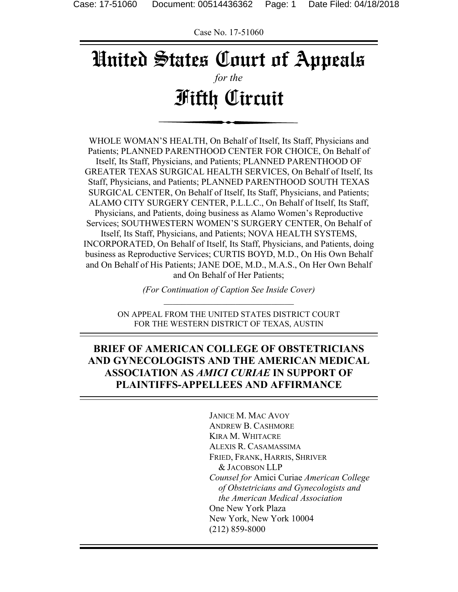Case No. 17-51060

# United States Court of Appeals *for the*

# Fifth Circuit

WHOLE WOMAN'S HEALTH, On Behalf of Itself, Its Staff, Physicians and Patients; PLANNED PARENTHOOD CENTER FOR CHOICE, On Behalf of Itself, Its Staff, Physicians, and Patients; PLANNED PARENTHOOD OF GREATER TEXAS SURGICAL HEALTH SERVICES, On Behalf of Itself, Its Staff, Physicians, and Patients; PLANNED PARENTHOOD SOUTH TEXAS SURGICAL CENTER, On Behalf of Itself, Its Staff, Physicians, and Patients; ALAMO CITY SURGERY CENTER, P.L.L.C., On Behalf of Itself, Its Staff, Physicians, and Patients, doing business as Alamo Women's Reproductive Services; SOUTHWESTERN WOMEN'S SURGERY CENTER, On Behalf of Itself, Its Staff, Physicians, and Patients; NOVA HEALTH SYSTEMS, INCORPORATED, On Behalf of Itself, Its Staff, Physicians, and Patients, doing business as Reproductive Services; CURTIS BOYD, M.D., On His Own Behalf and On Behalf of His Patients; JANE DOE, M.D., M.A.S., On Her Own Behalf and On Behalf of Her Patients;

> *(For Continuation of Caption See Inside Cover)*   $\mathcal{L}_\text{max}$  , and the set of the set of the set of the set of the set of the set of the set of the set of the set of the set of the set of the set of the set of the set of the set of the set of the set of the set of the

ON APPEAL FROM THE UNITED STATES DISTRICT COURT FOR THE WESTERN DISTRICT OF TEXAS, AUSTIN

## **BRIEF OF AMERICAN COLLEGE OF OBSTETRICIANS AND GYNECOLOGISTS AND THE AMERICAN MEDICAL ASSOCIATION AS** *AMICI CURIAE* **IN SUPPORT OF PLAINTIFFS-APPELLEES AND AFFIRMANCE**

 JANICE M. MAC AVOY ANDREW B. CASHMORE KIRA M. WHITACRE ALEXIS R. CASAMASSIMA FRIED, FRANK, HARRIS, SHRIVER & JACOBSON LLP *Counsel for* Amici Curiae *American College of Obstetricians and Gynecologists and the American Medical Association* One New York Plaza New York, New York 10004 (212) 859-8000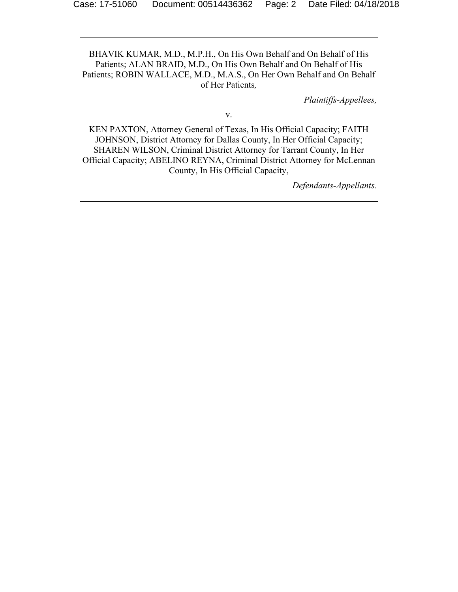BHAVIK KUMAR, M.D., M.P.H., On His Own Behalf and On Behalf of His Patients; ALAN BRAID, M.D., On His Own Behalf and On Behalf of His Patients; ROBIN WALLACE, M.D., M.A.S., On Her Own Behalf and On Behalf of Her Patients*,* 

*Plaintiffs-Appellees,* 

 $-V. -$ 

KEN PAXTON, Attorney General of Texas, In His Official Capacity; FAITH JOHNSON, District Attorney for Dallas County, In Her Official Capacity; SHAREN WILSON, Criminal District Attorney for Tarrant County, In Her Official Capacity; ABELINO REYNA, Criminal District Attorney for McLennan County, In His Official Capacity,

*Defendants-Appellants.*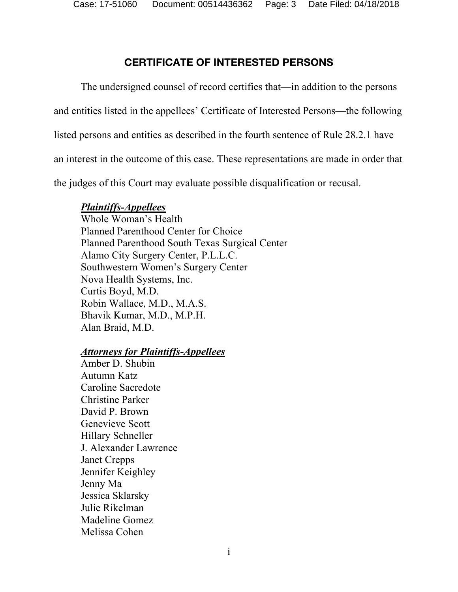## **CERTIFICATE OF INTERESTED PERSONS**

The undersigned counsel of record certifies that—in addition to the persons and entities listed in the appellees' Certificate of Interested Persons—the following listed persons and entities as described in the fourth sentence of Rule 28.2.1 have an interest in the outcome of this case. These representations are made in order that the judges of this Court may evaluate possible disqualification or recusal.

## *Plaintiffs-Appellees*

Whole Woman's Health Planned Parenthood Center for Choice Planned Parenthood South Texas Surgical Center Alamo City Surgery Center, P.L.L.C. Southwestern Women's Surgery Center Nova Health Systems, Inc. Curtis Boyd, M.D. Robin Wallace, M.D., M.A.S. Bhavik Kumar, M.D., M.P.H. Alan Braid, M.D.

#### *Attorneys for Plaintiffs-Appellees*

Amber D. Shubin Autumn Katz Caroline Sacredote Christine Parker David P. Brown Genevieve Scott Hillary Schneller J. Alexander Lawrence Janet Crepps Jennifer Keighley Jenny Ma Jessica Sklarsky Julie Rikelman Madeline Gomez Melissa Cohen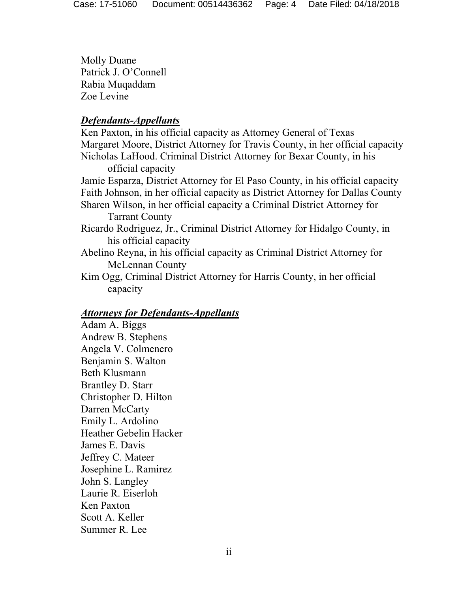Molly Duane Patrick J. O'Connell Rabia Muqaddam Zoe Levine

#### *Defendants-Appellants*

Ken Paxton, in his official capacity as Attorney General of Texas Margaret Moore, District Attorney for Travis County, in her official capacity Nicholas LaHood. Criminal District Attorney for Bexar County, in his official capacity Jamie Esparza, District Attorney for El Paso County, in his official capacity Faith Johnson, in her official capacity as District Attorney for Dallas County Sharen Wilson, in her official capacity a Criminal District Attorney for Tarrant County Ricardo Rodriguez, Jr., Criminal District Attorney for Hidalgo County, in his official capacity Abelino Reyna, in his official capacity as Criminal District Attorney for McLennan County Kim Ogg, Criminal District Attorney for Harris County, in her official capacity

#### *Attorneys for Defendants-Appellants*

Adam A. Biggs Andrew B. Stephens Angela V. Colmenero Benjamin S. Walton Beth Klusmann Brantley D. Starr Christopher D. Hilton Darren McCarty Emily L. Ardolino Heather Gebelin Hacker James E. Davis Jeffrey C. Mateer Josephine L. Ramirez John S. Langley Laurie R. Eiserloh Ken Paxton Scott A. Keller Summer R. Lee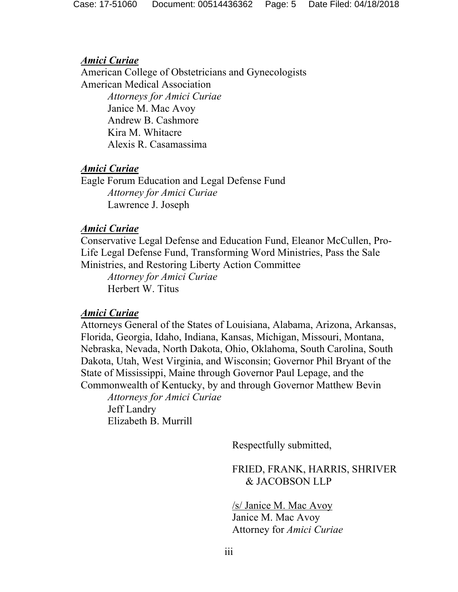#### *Amici Curiae*

 American College of Obstetricians and Gynecologists American Medical Association *Attorneys for Amici Curiae*  Janice M. Mac Avoy

> Andrew B. Cashmore Kira M. Whitacre Alexis R. Casamassima

#### *Amici Curiae*

Eagle Forum Education and Legal Defense Fund *Attorney for Amici Curiae*  Lawrence J. Joseph

#### *Amici Curiae*

Conservative Legal Defense and Education Fund, Eleanor McCullen, Pro-Life Legal Defense Fund, Transforming Word Ministries, Pass the Sale Ministries, and Restoring Liberty Action Committee

 *Attorney for Amici Curiae*  Herbert W. Titus

#### *Amici Curiae*

Attorneys General of the States of Louisiana, Alabama, Arizona, Arkansas, Florida, Georgia, Idaho, Indiana, Kansas, Michigan, Missouri, Montana, Nebraska, Nevada, North Dakota, Ohio, Oklahoma, South Carolina, South Dakota, Utah, West Virginia, and Wisconsin; Governor Phil Bryant of the State of Mississippi, Maine through Governor Paul Lepage, and the Commonwealth of Kentucky, by and through Governor Matthew Bevin *Attorneys for Amici Curiae* 

Jeff Landry Elizabeth B. Murrill

Respectfully submitted,

FRIED, FRANK, HARRIS, SHRIVER & JACOBSON LLP

/s/ Janice M. Mac Avoy Janice M. Mac Avoy Attorney for *Amici Curiae*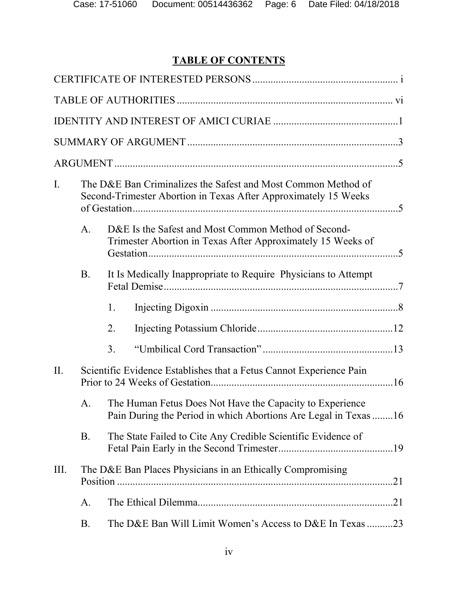## **TABLE OF CONTENTS**

| I.   |                                                            | The D&E Ban Criminalizes the Safest and Most Common Method of<br>Second-Trimester Abortion in Texas After Approximately 15 Weeks |  |  |
|------|------------------------------------------------------------|----------------------------------------------------------------------------------------------------------------------------------|--|--|
|      | A.                                                         | D&E Is the Safest and Most Common Method of Second-<br>Trimester Abortion in Texas After Approximately 15 Weeks of               |  |  |
|      | <b>B.</b>                                                  | It Is Medically Inappropriate to Require Physicians to Attempt                                                                   |  |  |
|      |                                                            | 1.                                                                                                                               |  |  |
|      |                                                            | 2.                                                                                                                               |  |  |
|      |                                                            | 3.                                                                                                                               |  |  |
| II.  |                                                            | Scientific Evidence Establishes that a Fetus Cannot Experience Pain                                                              |  |  |
|      | A.                                                         | The Human Fetus Does Not Have the Capacity to Experience<br>Pain During the Period in which Abortions Are Legal in Texas 16      |  |  |
|      | <b>B.</b>                                                  | The State Failed to Cite Any Credible Scientific Evidence of                                                                     |  |  |
| III. | The D&E Ban Places Physicians in an Ethically Compromising |                                                                                                                                  |  |  |
|      | A.                                                         |                                                                                                                                  |  |  |
|      | B.                                                         | The D&E Ban Will Limit Women's Access to D&E In Texas 23                                                                         |  |  |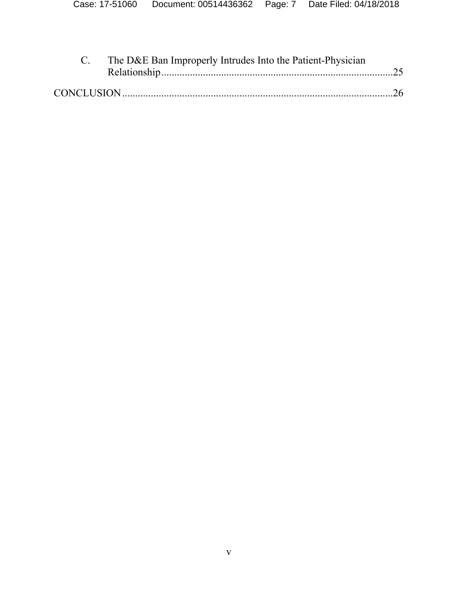| C. The D&E Ban Improperly Intrudes Into the Patient-Physician |  |
|---------------------------------------------------------------|--|
|                                                               |  |
|                                                               |  |
|                                                               |  |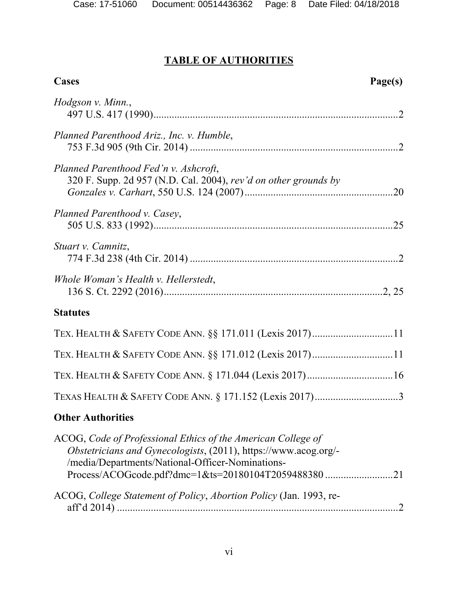## **TABLE OF AUTHORITIES**

| <b>Cases</b>                                                                                                                                                                                                                             | Page(s) |
|------------------------------------------------------------------------------------------------------------------------------------------------------------------------------------------------------------------------------------------|---------|
| Hodgson v. Minn.,                                                                                                                                                                                                                        |         |
| Planned Parenthood Ariz., Inc. v. Humble,                                                                                                                                                                                                |         |
| Planned Parenthood Fed'n v. Ashcroft,<br>320 F. Supp. 2d 957 (N.D. Cal. 2004), rev'd on other grounds by                                                                                                                                 |         |
| Planned Parenthood v. Casey,                                                                                                                                                                                                             |         |
| Stuart v. Camnitz,                                                                                                                                                                                                                       |         |
| Whole Woman's Health v. Hellerstedt,                                                                                                                                                                                                     |         |
| <b>Statutes</b>                                                                                                                                                                                                                          |         |
| TEX. HEALTH & SAFETY CODE ANN. §§ 171.011 (Lexis 2017)11                                                                                                                                                                                 |         |
| TEX. HEALTH & SAFETY CODE ANN. §§ 171.012 (Lexis 2017)11                                                                                                                                                                                 |         |
|                                                                                                                                                                                                                                          |         |
| TEXAS HEALTH & SAFETY CODE ANN. § 171.152 (Lexis 2017)3                                                                                                                                                                                  |         |
| <b>Other Authorities</b>                                                                                                                                                                                                                 |         |
| ACOG, Code of Professional Ethics of the American College of<br>Obstetricians and Gynecologists, (2011), https://www.acog.org/-<br>/media/Departments/National-Officer-Nominations-<br>Process/ACOGcode.pdf?dmc=1&ts=20180104T2059488380 | .21     |
| ACOG, College Statement of Policy, Abortion Policy (Jan. 1993, re-                                                                                                                                                                       |         |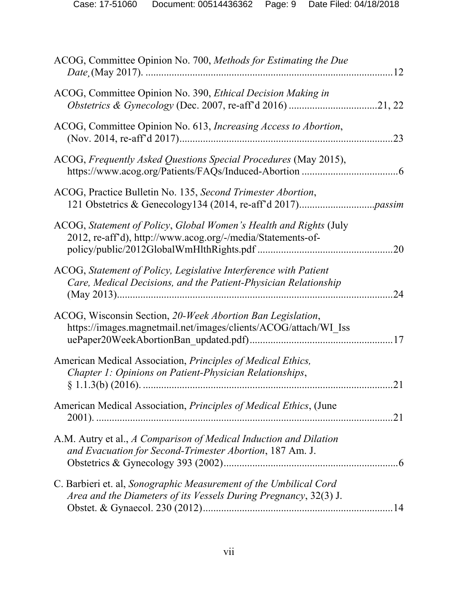| ACOG, Committee Opinion No. 700, Methods for Estimating the Due                                                                       |     |
|---------------------------------------------------------------------------------------------------------------------------------------|-----|
| ACOG, Committee Opinion No. 390, Ethical Decision Making in                                                                           |     |
| ACOG, Committee Opinion No. 613, Increasing Access to Abortion,                                                                       | .23 |
| ACOG, Frequently Asked Questions Special Procedures (May 2015),                                                                       |     |
| ACOG, Practice Bulletin No. 135, Second Trimester Abortion,                                                                           |     |
| ACOG, Statement of Policy, Global Women's Health and Rights (July<br>2012, re-aff'd), http://www.acog.org/-/media/Statements-of-      | .20 |
| ACOG, Statement of Policy, Legislative Interference with Patient<br>Care, Medical Decisions, and the Patient-Physician Relationship   | 24  |
| ACOG, Wisconsin Section, 20-Week Abortion Ban Legislation,<br>https://images.magnetmail.net/images/clients/ACOG/attach/WI Iss         |     |
| American Medical Association, Principles of Medical Ethics,<br>Chapter 1: Opinions on Patient-Physician Relationships,                | 21  |
| American Medical Association, <i>Principles of Medical Ethics</i> , (June                                                             |     |
| A.M. Autry et al., A Comparison of Medical Induction and Dilation<br>and Evacuation for Second-Trimester Abortion, 187 Am. J.         |     |
| C. Barbieri et. al, Sonographic Measurement of the Umbilical Cord<br>Area and the Diameters of its Vessels During Pregnancy, 32(3) J. |     |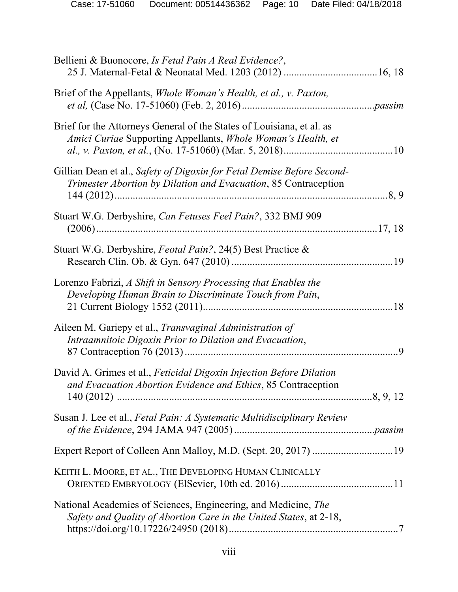| Bellieni & Buonocore, Is Fetal Pain A Real Evidence?,                                                                                     |
|-------------------------------------------------------------------------------------------------------------------------------------------|
| Brief of the Appellants, Whole Woman's Health, et al., v. Paxton,                                                                         |
| Brief for the Attorneys General of the States of Louisiana, et al. as<br>Amici Curiae Supporting Appellants, Whole Woman's Health, et     |
| Gillian Dean et al., Safety of Digoxin for Fetal Demise Before Second-<br>Trimester Abortion by Dilation and Evacuation, 85 Contraception |
| Stuart W.G. Derbyshire, Can Fetuses Feel Pain?, 332 BMJ 909                                                                               |
| Stuart W.G. Derbyshire, Feotal Pain?, 24(5) Best Practice &                                                                               |
| Lorenzo Fabrizi, A Shift in Sensory Processing that Enables the<br>Developing Human Brain to Discriminate Touch from Pain,                |
| Aileen M. Gariepy et al., Transvaginal Administration of<br>Intraamnitoic Digoxin Prior to Dilation and Evacuation,<br>.9                 |
| David A. Grimes et al., Feticidal Digoxin Injection Before Dilation<br>and Evacuation Abortion Evidence and Ethics, 85 Contraception      |
| Susan J. Lee et al., Fetal Pain: A Systematic Multidisciplinary Review                                                                    |
| Expert Report of Colleen Ann Malloy, M.D. (Sept. 20, 2017) 19                                                                             |
| KEITH L. MOORE, ET AL., THE DEVELOPING HUMAN CLINICALLY                                                                                   |
| National Academies of Sciences, Engineering, and Medicine, The<br>Safety and Quality of Abortion Care in the United States, at 2-18,      |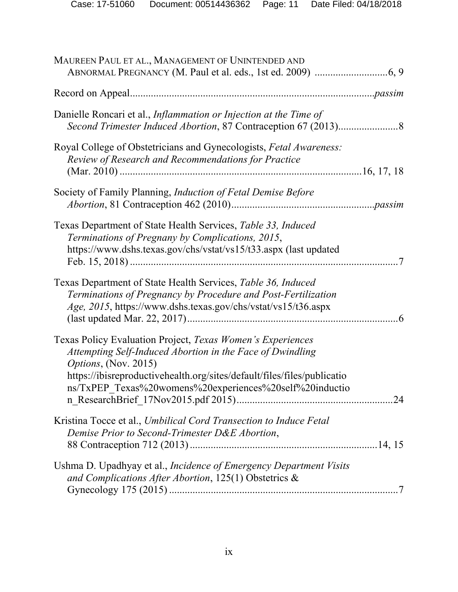| MAUREEN PAUL ET AL., MANAGEMENT OF UNINTENDED AND                                                                                                                                                                                                                                             |
|-----------------------------------------------------------------------------------------------------------------------------------------------------------------------------------------------------------------------------------------------------------------------------------------------|
|                                                                                                                                                                                                                                                                                               |
| Danielle Roncari et al., <i>Inflammation or Injection at the Time of</i>                                                                                                                                                                                                                      |
| Royal College of Obstetricians and Gynecologists, Fetal Awareness:<br>Review of Research and Recommendations for Practice                                                                                                                                                                     |
| Society of Family Planning, <i>Induction of Fetal Demise Before</i>                                                                                                                                                                                                                           |
| Texas Department of State Health Services, Table 33, Induced<br>Terminations of Pregnany by Complications, 2015,<br>https://www.dshs.texas.gov/chs/vstat/vs15/t33.aspx (last updated                                                                                                          |
| Texas Department of State Health Services, Table 36, Induced<br>Terminations of Pregnancy by Procedure and Post-Fertilization<br>Age, 2015, https://www.dshs.texas.gov/chs/vstat/vs15/t36.aspx                                                                                                |
| Texas Policy Evaluation Project, Texas Women's Experiences<br>Attempting Self-Induced Abortion in the Face of Dwindling<br><i>Options</i> , (Nov. 2015)<br>https://ibisreproductivehealth.org/sites/default/files/files/publicatio<br>ns/TxPEP Texas%20womens%20experiences%20self%20inductio |
| Kristina Tocce et al., Umbilical Cord Transection to Induce Fetal<br>Demise Prior to Second-Trimester D&E Abortion,                                                                                                                                                                           |
| Ushma D. Upadhyay et al., <i>Incidence of Emergency Department Visits</i><br>and Complications After Abortion, 125(1) Obstetrics &                                                                                                                                                            |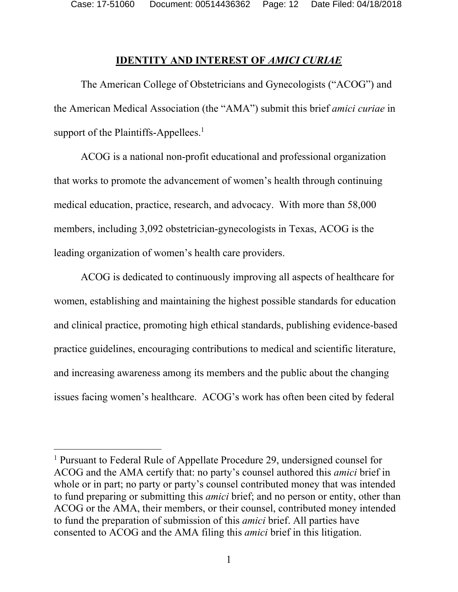Case: 17-51060 Document: 00514436362 Page: 12 Date Filed: 04/18/2018

#### **IDENTITY AND INTEREST OF** *AMICI CURIAE*

 The American College of Obstetricians and Gynecologists ("ACOG") and the American Medical Association (the "AMA") submit this brief *amici curiae* in support of the Plaintiffs-Appellees. $<sup>1</sup>$ </sup>

ACOG is a national non-profit educational and professional organization that works to promote the advancement of women's health through continuing medical education, practice, research, and advocacy. With more than 58,000 members, including 3,092 obstetrician-gynecologists in Texas, ACOG is the leading organization of women's health care providers.

ACOG is dedicated to continuously improving all aspects of healthcare for women, establishing and maintaining the highest possible standards for education and clinical practice, promoting high ethical standards, publishing evidence-based practice guidelines, encouraging contributions to medical and scientific literature, and increasing awareness among its members and the public about the changing issues facing women's healthcare. ACOG's work has often been cited by federal

<sup>&</sup>lt;sup>1</sup> Pursuant to Federal Rule of Appellate Procedure 29, undersigned counsel for ACOG and the AMA certify that: no party's counsel authored this *amici* brief in whole or in part; no party or party's counsel contributed money that was intended to fund preparing or submitting this *amici* brief; and no person or entity, other than ACOG or the AMA, their members, or their counsel, contributed money intended to fund the preparation of submission of this *amici* brief. All parties have consented to ACOG and the AMA filing this *amici* brief in this litigation.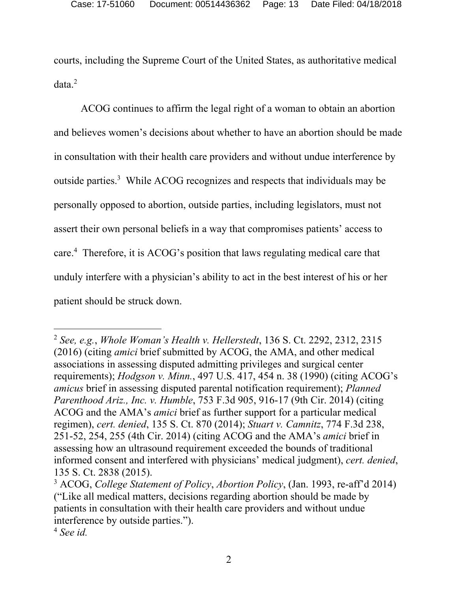courts, including the Supreme Court of the United States, as authoritative medical data.<sup>2</sup>

ACOG continues to affirm the legal right of a woman to obtain an abortion and believes women's decisions about whether to have an abortion should be made in consultation with their health care providers and without undue interference by outside parties.<sup>3</sup> While ACOG recognizes and respects that individuals may be personally opposed to abortion, outside parties, including legislators, must not assert their own personal beliefs in a way that compromises patients' access to care.4 Therefore, it is ACOG's position that laws regulating medical care that unduly interfere with a physician's ability to act in the best interest of his or her patient should be struck down.

<sup>2</sup> *See, e.g.*, *Whole Woman's Health v. Hellerstedt*, 136 S. Ct. 2292, 2312, 2315 (2016) (citing *amici* brief submitted by ACOG, the AMA, and other medical associations in assessing disputed admitting privileges and surgical center requirements); *Hodgson v. Minn.*, 497 U.S. 417, 454 n. 38 (1990) (citing ACOG's *amicus* brief in assessing disputed parental notification requirement); *Planned Parenthood Ariz., Inc. v. Humble*, 753 F.3d 905, 916-17 (9th Cir. 2014) (citing ACOG and the AMA's *amici* brief as further support for a particular medical regimen), *cert. denied*, 135 S. Ct. 870 (2014); *Stuart v. Camnitz*, 774 F.3d 238, 251-52, 254, 255 (4th Cir. 2014) (citing ACOG and the AMA's *amici* brief in assessing how an ultrasound requirement exceeded the bounds of traditional informed consent and interfered with physicians' medical judgment), *cert. denied*, 135 S. Ct. 2838 (2015).

<sup>3</sup> ACOG, *College Statement of Policy*, *Abortion Policy*, (Jan. 1993, re-aff'd 2014) ("Like all medical matters, decisions regarding abortion should be made by patients in consultation with their health care providers and without undue interference by outside parties.").

<sup>4</sup> *See id.*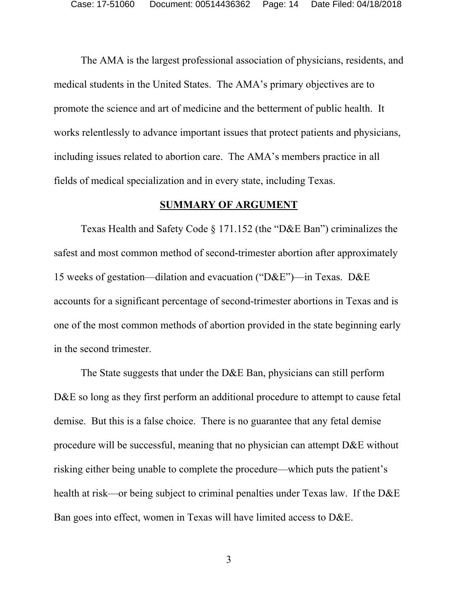The AMA is the largest professional association of physicians, residents, and medical students in the United States. The AMA's primary objectives are to promote the science and art of medicine and the betterment of public health. It works relentlessly to advance important issues that protect patients and physicians, including issues related to abortion care. The AMA's members practice in all fields of medical specialization and in every state, including Texas.

#### **SUMMARY OF ARGUMENT**

 Texas Health and Safety Code § 171.152 (the "D&E Ban") criminalizes the safest and most common method of second-trimester abortion after approximately 15 weeks of gestation—dilation and evacuation ("D&E")—in Texas. D&E accounts for a significant percentage of second-trimester abortions in Texas and is one of the most common methods of abortion provided in the state beginning early in the second trimester.

The State suggests that under the D&E Ban, physicians can still perform D&E so long as they first perform an additional procedure to attempt to cause fetal demise. But this is a false choice. There is no guarantee that any fetal demise procedure will be successful, meaning that no physician can attempt D&E without risking either being unable to complete the procedure—which puts the patient's health at risk—or being subject to criminal penalties under Texas law. If the D&E Ban goes into effect, women in Texas will have limited access to D&E.

3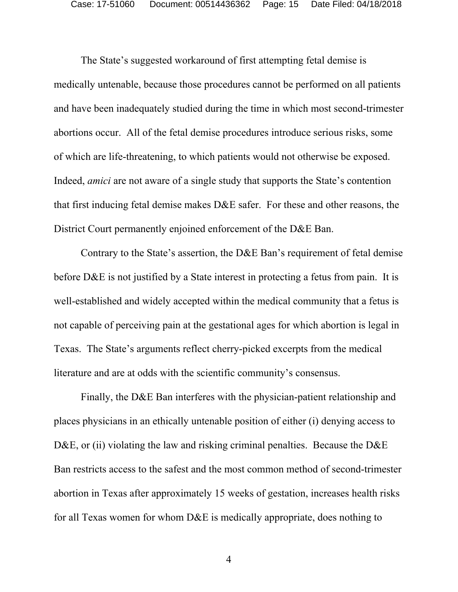The State's suggested workaround of first attempting fetal demise is medically untenable, because those procedures cannot be performed on all patients and have been inadequately studied during the time in which most second-trimester abortions occur. All of the fetal demise procedures introduce serious risks, some of which are life-threatening, to which patients would not otherwise be exposed. Indeed, *amici* are not aware of a single study that supports the State's contention that first inducing fetal demise makes D&E safer. For these and other reasons, the District Court permanently enjoined enforcement of the D&E Ban.

Contrary to the State's assertion, the D&E Ban's requirement of fetal demise before D&E is not justified by a State interest in protecting a fetus from pain. It is well-established and widely accepted within the medical community that a fetus is not capable of perceiving pain at the gestational ages for which abortion is legal in Texas. The State's arguments reflect cherry-picked excerpts from the medical literature and are at odds with the scientific community's consensus.

Finally, the D&E Ban interferes with the physician-patient relationship and places physicians in an ethically untenable position of either (i) denying access to D&E, or (ii) violating the law and risking criminal penalties. Because the D&E Ban restricts access to the safest and the most common method of second-trimester abortion in Texas after approximately 15 weeks of gestation, increases health risks for all Texas women for whom D&E is medically appropriate, does nothing to

4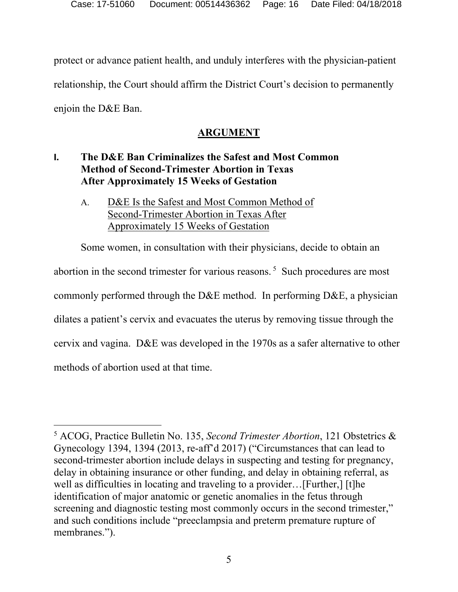protect or advance patient health, and unduly interferes with the physician-patient relationship, the Court should affirm the District Court's decision to permanently enjoin the D&E Ban.

#### **ARGUMENT**

## **I. The D&E Ban Criminalizes the Safest and Most Common Method of Second-Trimester Abortion in Texas After Approximately 15 Weeks of Gestation**

A. D&E Is the Safest and Most Common Method of Second-Trimester Abortion in Texas After Approximately 15 Weeks of Gestation

Some women, in consultation with their physicians, decide to obtain an abortion in the second trimester for various reasons. 5 Such procedures are most commonly performed through the D&E method. In performing D&E, a physician dilates a patient's cervix and evacuates the uterus by removing tissue through the cervix and vagina. D&E was developed in the 1970s as a safer alternative to other methods of abortion used at that time.

<sup>-</sup>5 ACOG, Practice Bulletin No. 135, *Second Trimester Abortion*, 121 Obstetrics & Gynecology 1394, 1394 (2013, re-aff'd 2017) ("Circumstances that can lead to second-trimester abortion include delays in suspecting and testing for pregnancy, delay in obtaining insurance or other funding, and delay in obtaining referral, as well as difficulties in locating and traveling to a provider…[Further,] [t]he identification of major anatomic or genetic anomalies in the fetus through screening and diagnostic testing most commonly occurs in the second trimester," and such conditions include "preeclampsia and preterm premature rupture of membranes.").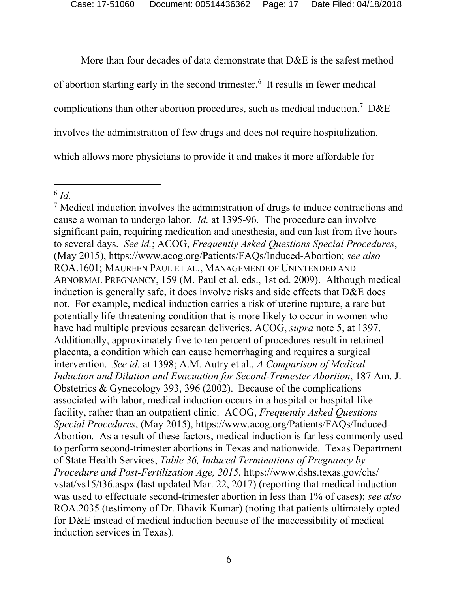Case: 17-51060 Document: 00514436362 Page: 17 Date Filed: 04/18/2018

More than four decades of data demonstrate that D&E is the safest method of abortion starting early in the second trimester.<sup>6</sup> It results in fewer medical complications than other abortion procedures, such as medical induction.<sup>7</sup> D&E involves the administration of few drugs and does not require hospitalization, which allows more physicians to provide it and makes it more affordable for

<sup>6</sup> *Id.* 

<sup>&</sup>lt;sup>7</sup> Medical induction involves the administration of drugs to induce contractions and cause a woman to undergo labor. *Id.* at 1395-96. The procedure can involve significant pain, requiring medication and anesthesia, and can last from five hours to several days. *See id.*; ACOG, *Frequently Asked Questions Special Procedures*, (May 2015), https://www.acog.org/Patients/FAQs/Induced-Abortion; *see also*  ROA.1601; MAUREEN PAUL ET AL., MANAGEMENT OF UNINTENDED AND ABNORMAL PREGNANCY, 159 (M. Paul et al. eds., 1st ed. 2009). Although medical induction is generally safe, it does involve risks and side effects that D&E does not. For example, medical induction carries a risk of uterine rupture, a rare but potentially life-threatening condition that is more likely to occur in women who have had multiple previous cesarean deliveries. ACOG, *supra* note 5, at 1397. Additionally, approximately five to ten percent of procedures result in retained placenta, a condition which can cause hemorrhaging and requires a surgical intervention. *See id.* at 1398; A.M. Autry et al., *A Comparison of Medical Induction and Dilation and Evacuation for Second-Trimester Abortion*, 187 Am. J. Obstetrics & Gynecology 393, 396 (2002). Because of the complications associated with labor, medical induction occurs in a hospital or hospital-like facility, rather than an outpatient clinic. ACOG, *Frequently Asked Questions Special Procedures*, (May 2015), https://www.acog.org/Patients/FAQs/Induced-Abortion*.* As a result of these factors, medical induction is far less commonly used to perform second-trimester abortions in Texas and nationwide. Texas Department of State Health Services, *Table 36, Induced Terminations of Pregnancy by Procedure and Post-Fertilization Age, 2015*, https://www.dshs.texas.gov/chs/ vstat/vs15/t36.aspx (last updated Mar. 22, 2017) (reporting that medical induction was used to effectuate second-trimester abortion in less than 1% of cases); *see also*  ROA.2035 (testimony of Dr. Bhavik Kumar) (noting that patients ultimately opted for D&E instead of medical induction because of the inaccessibility of medical induction services in Texas).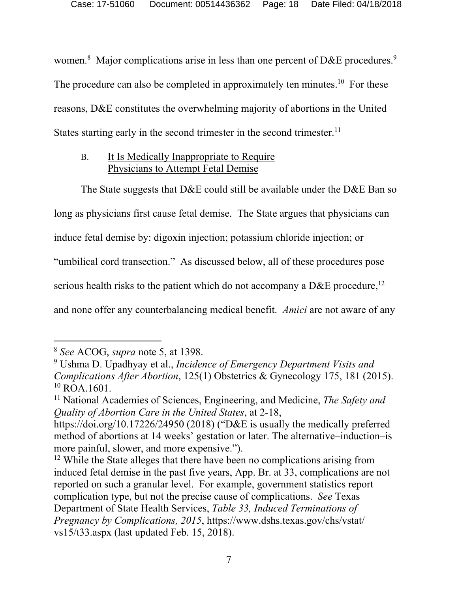women.<sup>8</sup> Major complications arise in less than one percent of D&E procedures.<sup>9</sup> The procedure can also be completed in approximately ten minutes.<sup>10</sup> For these reasons, D&E constitutes the overwhelming majority of abortions in the United States starting early in the second trimester in the second trimester. $<sup>11</sup>$ </sup>

#### B. It Is Medically Inappropriate to Require Physicians to Attempt Fetal Demise

The State suggests that D&E could still be available under the D&E Ban so

long as physicians first cause fetal demise. The State argues that physicians can

induce fetal demise by: digoxin injection; potassium chloride injection; or

"umbilical cord transection." As discussed below, all of these procedures pose

serious health risks to the patient which do not accompany a  $D&E$  procedure,<sup>12</sup>

and none offer any counterbalancing medical benefit. *Amici* are not aware of any

<sup>8</sup> *See* ACOG, *supra* note 5, at 1398.

<sup>9</sup> Ushma D. Upadhyay et al., *Incidence of Emergency Department Visits and Complications After Abortion*, 125(1) Obstetrics & Gynecology 175, 181 (2015).  $10$  ROA.1601.

<sup>11</sup> National Academies of Sciences, Engineering, and Medicine, *The Safety and Quality of Abortion Care in the United States*, at 2-18,

https://doi.org/10.17226/24950 (2018) ("D&E is usually the medically preferred method of abortions at 14 weeks' gestation or later. The alternative–induction–is more painful, slower, and more expensive.").

<sup>&</sup>lt;sup>12</sup> While the State alleges that there have been no complications arising from induced fetal demise in the past five years, App. Br. at 33, complications are not reported on such a granular level. For example, government statistics report complication type, but not the precise cause of complications. *See* Texas Department of State Health Services, *Table 33, Induced Terminations of Pregnancy by Complications, 2015*, https://www.dshs.texas.gov/chs/vstat/ vs15/t33.aspx (last updated Feb. 15, 2018).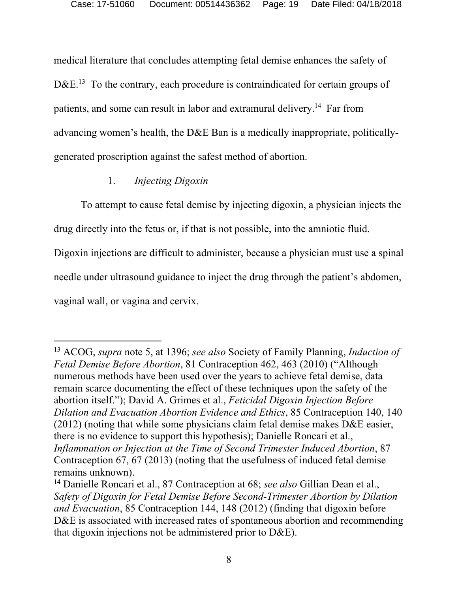medical literature that concludes attempting fetal demise enhances the safety of D&E.<sup>13</sup> To the contrary, each procedure is contraindicated for certain groups of patients, and some can result in labor and extramural delivery.<sup>14</sup> Far from advancing women's health, the D&E Ban is a medically inappropriate, politicallygenerated proscription against the safest method of abortion.

#### 1. *Injecting Digoxin*

To attempt to cause fetal demise by injecting digoxin, a physician injects the drug directly into the fetus or, if that is not possible, into the amniotic fluid.

Digoxin injections are difficult to administer, because a physician must use a spinal

needle under ultrasound guidance to inject the drug through the patient's abdomen,

vaginal wall, or vagina and cervix.

-

<sup>13</sup> ACOG, *supra* note 5, at 1396; *see also* Society of Family Planning, *Induction of Fetal Demise Before Abortion*, 81 Contraception 462, 463 (2010) ("Although numerous methods have been used over the years to achieve fetal demise, data remain scarce documenting the effect of these techniques upon the safety of the abortion itself."); David A. Grimes et al., *Feticidal Digoxin Injection Before Dilation and Evacuation Abortion Evidence and Ethics*, 85 Contraception 140, 140 (2012) (noting that while some physicians claim fetal demise makes D&E easier, there is no evidence to support this hypothesis); Danielle Roncari et al., *Inflammation or Injection at the Time of Second Trimester Induced Abortion*, 87 Contraception 67, 67 (2013) (noting that the usefulness of induced fetal demise remains unknown).

<sup>14</sup> Danielle Roncari et al., 87 Contraception at 68; *see also* Gillian Dean et al., *Safety of Digoxin for Fetal Demise Before Second-Trimester Abortion by Dilation and Evacuation*, 85 Contraception 144, 148 (2012) (finding that digoxin before D&E is associated with increased rates of spontaneous abortion and recommending that digoxin injections not be administered prior to D&E).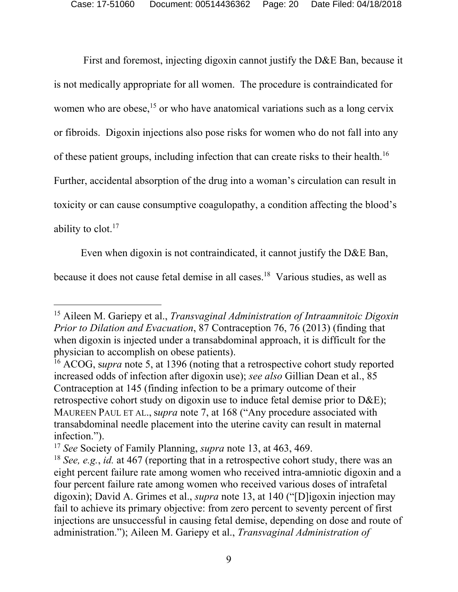First and foremost, injecting digoxin cannot justify the D&E Ban, because it is not medically appropriate for all women. The procedure is contraindicated for women who are obese,<sup>15</sup> or who have anatomical variations such as a long cervix or fibroids. Digoxin injections also pose risks for women who do not fall into any of these patient groups, including infection that can create risks to their health.16 Further, accidental absorption of the drug into a woman's circulation can result in toxicity or can cause consumptive coagulopathy, a condition affecting the blood's ability to  $\text{clot.}^{17}$ 

Even when digoxin is not contraindicated, it cannot justify the D&E Ban, because it does not cause fetal demise in all cases.<sup>18</sup> Various studies, as well as

<sup>15</sup> Aileen M. Gariepy et al., *Transvaginal Administration of Intraamnitoic Digoxin Prior to Dilation and Evacuation*, 87 Contraception 76, 76 (2013) (finding that when digoxin is injected under a transabdominal approach, it is difficult for the physician to accomplish on obese patients).

<sup>16</sup> ACOG, s*upra* note 5, at 1396 (noting that a retrospective cohort study reported increased odds of infection after digoxin use); *see also* Gillian Dean et al., 85 Contraception at 145 (finding infection to be a primary outcome of their retrospective cohort study on digoxin use to induce fetal demise prior to D&E); MAUREEN PAUL ET AL., s*upra* note 7, at 168 ("Any procedure associated with transabdominal needle placement into the uterine cavity can result in maternal infection.").

<sup>17</sup> *See* Society of Family Planning, *supra* note 13, at 463, 469.

<sup>18</sup> *See, e.g.*, *id.* at 467 (reporting that in a retrospective cohort study, there was an eight percent failure rate among women who received intra-amniotic digoxin and a four percent failure rate among women who received various doses of intrafetal digoxin); David A. Grimes et al., *supra* note 13, at 140 ("[D]igoxin injection may fail to achieve its primary objective: from zero percent to seventy percent of first injections are unsuccessful in causing fetal demise, depending on dose and route of administration."); Aileen M. Gariepy et al., *Transvaginal Administration of*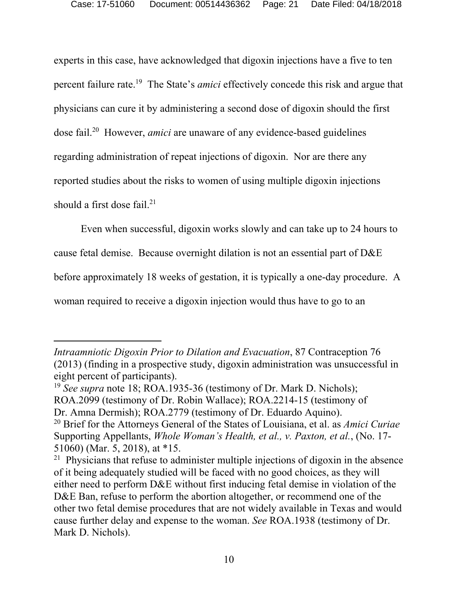experts in this case, have acknowledged that digoxin injections have a five to ten percent failure rate.19 The State's *amici* effectively concede this risk and argue that physicians can cure it by administering a second dose of digoxin should the first dose fail.20 However, *amici* are unaware of any evidence-based guidelines regarding administration of repeat injections of digoxin. Nor are there any reported studies about the risks to women of using multiple digoxin injections should a first dose fail. $21$ 

Even when successful, digoxin works slowly and can take up to 24 hours to

cause fetal demise. Because overnight dilation is not an essential part of D&E

before approximately 18 weeks of gestation, it is typically a one-day procedure. A

woman required to receive a digoxin injection would thus have to go to an

-

*Intraamniotic Digoxin Prior to Dilation and Evacuation*, 87 Contraception 76 (2013) (finding in a prospective study, digoxin administration was unsuccessful in eight percent of participants).

<sup>19</sup> *See supra* note 18; ROA.1935-36 (testimony of Dr. Mark D. Nichols); ROA.2099 (testimony of Dr. Robin Wallace); ROA.2214-15 (testimony of Dr. Amna Dermish); ROA.2779 (testimony of Dr. Eduardo Aquino).

<sup>20</sup> Brief for the Attorneys General of the States of Louisiana, et al. as *Amici Curiae* Supporting Appellants, *Whole Woman's Health, et al., v. Paxton, et al.*, (No. 17- 51060) (Mar. 5, 2018), at \*15.

<sup>&</sup>lt;sup>21</sup> Physicians that refuse to administer multiple injections of digoxin in the absence of it being adequately studied will be faced with no good choices, as they will either need to perform D&E without first inducing fetal demise in violation of the D&E Ban, refuse to perform the abortion altogether, or recommend one of the other two fetal demise procedures that are not widely available in Texas and would cause further delay and expense to the woman. *See* ROA.1938 (testimony of Dr. Mark D. Nichols).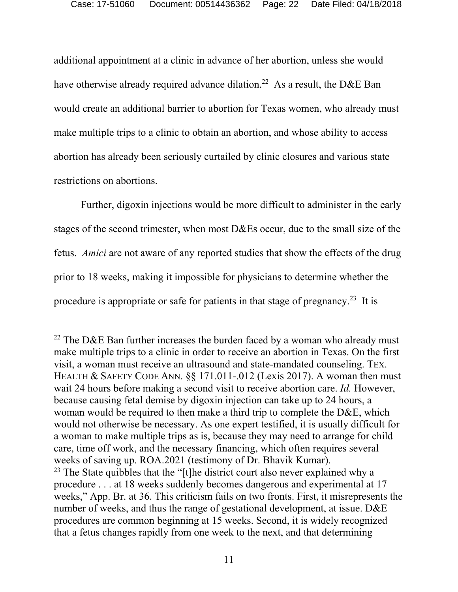additional appointment at a clinic in advance of her abortion, unless she would have otherwise already required advance dilation.<sup>22</sup> As a result, the D&E Ban would create an additional barrier to abortion for Texas women, who already must make multiple trips to a clinic to obtain an abortion, and whose ability to access abortion has already been seriously curtailed by clinic closures and various state restrictions on abortions.

Further, digoxin injections would be more difficult to administer in the early stages of the second trimester, when most D&Es occur, due to the small size of the fetus. *Amici* are not aware of any reported studies that show the effects of the drug prior to 18 weeks, making it impossible for physicians to determine whether the procedure is appropriate or safe for patients in that stage of pregnancy.<sup>23</sup> It is

<sup>&</sup>lt;sup>22</sup> The D&E Ban further increases the burden faced by a woman who already must make multiple trips to a clinic in order to receive an abortion in Texas. On the first visit, a woman must receive an ultrasound and state-mandated counseling. TEX. HEALTH & SAFETY CODE ANN. §§ 171.011-.012 (Lexis 2017). A woman then must wait 24 hours before making a second visit to receive abortion care. *Id.* However, because causing fetal demise by digoxin injection can take up to 24 hours, a woman would be required to then make a third trip to complete the D&E, which would not otherwise be necessary. As one expert testified, it is usually difficult for a woman to make multiple trips as is, because they may need to arrange for child care, time off work, and the necessary financing, which often requires several weeks of saving up. ROA.2021 (testimony of Dr. Bhavik Kumar). <sup>23</sup> The State quibbles that the "[t]he district court also never explained why a procedure . . . at 18 weeks suddenly becomes dangerous and experimental at 17 weeks," App. Br. at 36. This criticism fails on two fronts. First, it misrepresents the number of weeks, and thus the range of gestational development, at issue. D&E procedures are common beginning at 15 weeks. Second, it is widely recognized that a fetus changes rapidly from one week to the next, and that determining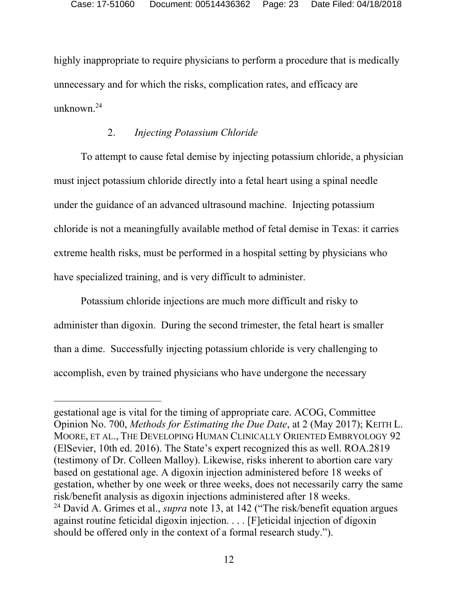highly inappropriate to require physicians to perform a procedure that is medically unnecessary and for which the risks, complication rates, and efficacy are unknown.24

#### 2. *Injecting Potassium Chloride*

To attempt to cause fetal demise by injecting potassium chloride, a physician must inject potassium chloride directly into a fetal heart using a spinal needle under the guidance of an advanced ultrasound machine. Injecting potassium chloride is not a meaningfully available method of fetal demise in Texas: it carries extreme health risks, must be performed in a hospital setting by physicians who have specialized training, and is very difficult to administer.

Potassium chloride injections are much more difficult and risky to administer than digoxin. During the second trimester, the fetal heart is smaller than a dime. Successfully injecting potassium chloride is very challenging to accomplish, even by trained physicians who have undergone the necessary

-

gestational age is vital for the timing of appropriate care. ACOG, Committee Opinion No. 700, *Methods for Estimating the Due Date*, at 2 (May 2017); KEITH L. MOORE, ET AL., THE DEVELOPING HUMAN CLINICALLY ORIENTED EMBRYOLOGY 92 (ElSevier, 10th ed. 2016). The State's expert recognized this as well. ROA.2819 (testimony of Dr. Colleen Malloy). Likewise, risks inherent to abortion care vary based on gestational age. A digoxin injection administered before 18 weeks of gestation, whether by one week or three weeks, does not necessarily carry the same risk/benefit analysis as digoxin injections administered after 18 weeks. 24 David A. Grimes et al., *supra* note 13, at 142 ("The risk/benefit equation argues against routine feticidal digoxin injection. . . . [F]eticidal injection of digoxin should be offered only in the context of a formal research study.").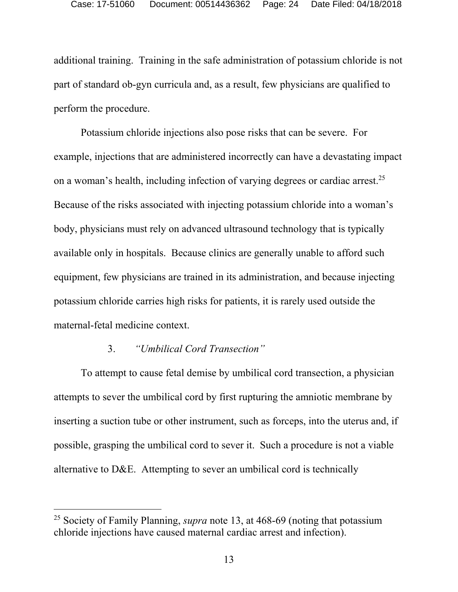additional training. Training in the safe administration of potassium chloride is not part of standard ob-gyn curricula and, as a result, few physicians are qualified to perform the procedure.

Potassium chloride injections also pose risks that can be severe. For example, injections that are administered incorrectly can have a devastating impact on a woman's health, including infection of varying degrees or cardiac arrest.<sup>25</sup> Because of the risks associated with injecting potassium chloride into a woman's body, physicians must rely on advanced ultrasound technology that is typically available only in hospitals. Because clinics are generally unable to afford such equipment, few physicians are trained in its administration, and because injecting potassium chloride carries high risks for patients, it is rarely used outside the maternal-fetal medicine context.

## 3. *"Umbilical Cord Transection"*

-

To attempt to cause fetal demise by umbilical cord transection, a physician attempts to sever the umbilical cord by first rupturing the amniotic membrane by inserting a suction tube or other instrument, such as forceps, into the uterus and, if possible, grasping the umbilical cord to sever it. Such a procedure is not a viable alternative to D&E. Attempting to sever an umbilical cord is technically

<sup>25</sup> Society of Family Planning, *supra* note 13, at 468-69 (noting that potassium chloride injections have caused maternal cardiac arrest and infection).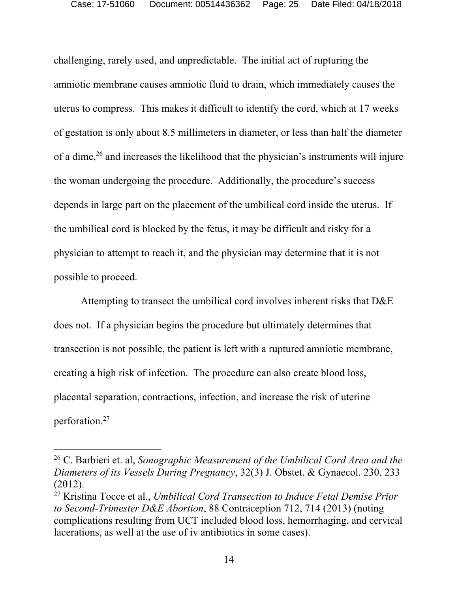challenging, rarely used, and unpredictable. The initial act of rupturing the amniotic membrane causes amniotic fluid to drain, which immediately causes the uterus to compress. This makes it difficult to identify the cord, which at 17 weeks of gestation is only about 8.5 millimeters in diameter, or less than half the diameter of a dime,26 and increases the likelihood that the physician's instruments will injure the woman undergoing the procedure. Additionally, the procedure's success depends in large part on the placement of the umbilical cord inside the uterus. If the umbilical cord is blocked by the fetus, it may be difficult and risky for a physician to attempt to reach it, and the physician may determine that it is not possible to proceed.

Attempting to transect the umbilical cord involves inherent risks that D&E does not. If a physician begins the procedure but ultimately determines that transection is not possible, the patient is left with a ruptured amniotic membrane, creating a high risk of infection. The procedure can also create blood loss, placental separation, contractions, infection, and increase the risk of uterine perforation.27

<sup>26</sup> C. Barbieri et. al, *Sonographic Measurement of the Umbilical Cord Area and the Diameters of its Vessels During Pregnancy*, 32(3) J. Obstet. & Gynaecol. 230, 233 (2012).

<sup>27</sup> Kristina Tocce et al., *Umbilical Cord Transection to Induce Fetal Demise Prior to Second-Trimester D&E Abortion*, 88 Contraception 712, 714 (2013) (noting complications resulting from UCT included blood loss, hemorrhaging, and cervical lacerations, as well at the use of iv antibiotics in some cases).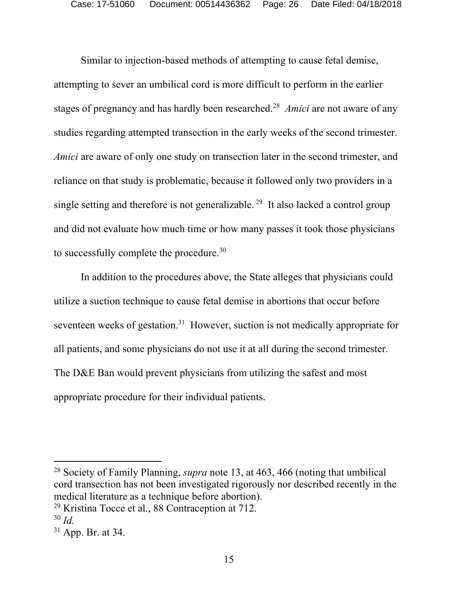Similar to injection-based methods of attempting to cause fetal demise, attempting to sever an umbilical cord is more difficult to perform in the earlier stages of pregnancy and has hardly been researched.28 *Amici* are not aware of any studies regarding attempted transection in the early weeks of the second trimester. *Amici* are aware of only one study on transection later in the second trimester, and reliance on that study is problematic, because it followed only two providers in a single setting and therefore is not generalizable.<sup>29</sup> It also lacked a control group and did not evaluate how much time or how many passes it took those physicians to successfully complete the procedure.30

In addition to the procedures above, the State alleges that physicians could utilize a suction technique to cause fetal demise in abortions that occur before seventeen weeks of gestation.<sup>31</sup> However, suction is not medically appropriate for all patients, and some physicians do not use it at all during the second trimester. The D&E Ban would prevent physicians from utilizing the safest and most appropriate procedure for their individual patients.

-

<sup>28</sup> Society of Family Planning, *supra* note 13, at 463, 466 (noting that umbilical cord transection has not been investigated rigorously nor described recently in the medical literature as a technique before abortion).

 $29$  Kristina Tocce et al., 88 Contraception at 712.

<sup>30</sup> *Id.* 

<sup>31</sup> App. Br. at 34.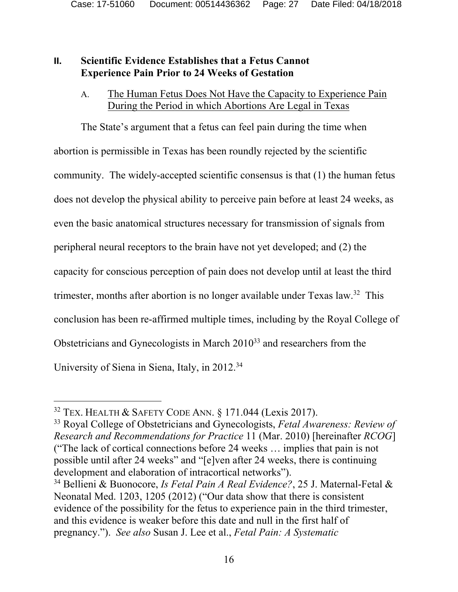#### **II. Scientific Evidence Establishes that a Fetus Cannot Experience Pain Prior to 24 Weeks of Gestation**

#### A. The Human Fetus Does Not Have the Capacity to Experience Pain During the Period in which Abortions Are Legal in Texas

The State's argument that a fetus can feel pain during the time when abortion is permissible in Texas has been roundly rejected by the scientific community. The widely-accepted scientific consensus is that (1) the human fetus does not develop the physical ability to perceive pain before at least 24 weeks, as even the basic anatomical structures necessary for transmission of signals from peripheral neural receptors to the brain have not yet developed; and (2) the capacity for conscious perception of pain does not develop until at least the third trimester, months after abortion is no longer available under Texas law.32 This conclusion has been re-affirmed multiple times, including by the Royal College of Obstetricians and Gynecologists in March 201033 and researchers from the University of Siena in Siena, Italy, in 2012.34

-

33 Royal College of Obstetricians and Gynecologists, *Fetal Awareness: Review of Research and Recommendations for Practice* 11 (Mar. 2010) [hereinafter *RCOG*] ("The lack of cortical connections before 24 weeks … implies that pain is not possible until after 24 weeks" and "[e]ven after 24 weeks, there is continuing development and elaboration of intracortical networks").

<sup>&</sup>lt;sup>32</sup> TEX. HEALTH & SAFETY CODE ANN.  $\S$  171.044 (Lexis 2017).

<sup>34</sup> Bellieni & Buonocore, *Is Fetal Pain A Real Evidence?*, 25 J. Maternal-Fetal & Neonatal Med. 1203, 1205 (2012) ("Our data show that there is consistent evidence of the possibility for the fetus to experience pain in the third trimester, and this evidence is weaker before this date and null in the first half of pregnancy."). *See also* Susan J. Lee et al., *Fetal Pain: A Systematic*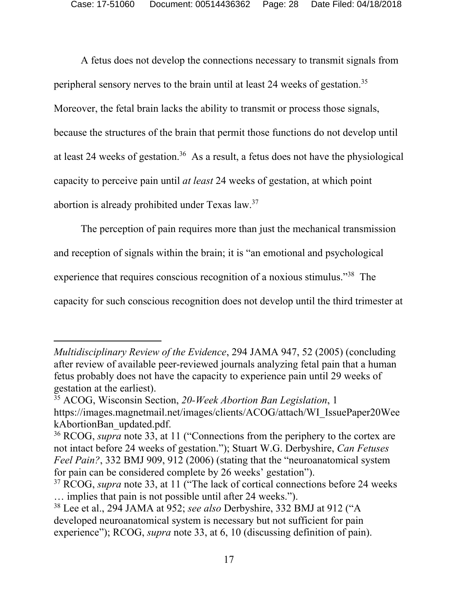A fetus does not develop the connections necessary to transmit signals from peripheral sensory nerves to the brain until at least 24 weeks of gestation.35 Moreover, the fetal brain lacks the ability to transmit or process those signals, because the structures of the brain that permit those functions do not develop until at least 24 weeks of gestation.36 As a result, a fetus does not have the physiological capacity to perceive pain until *at least* 24 weeks of gestation, at which point abortion is already prohibited under Texas law.37

The perception of pain requires more than just the mechanical transmission and reception of signals within the brain; it is "an emotional and psychological experience that requires conscious recognition of a noxious stimulus."38 The capacity for such conscious recognition does not develop until the third trimester at

-

*Multidisciplinary Review of the Evidence*, 294 JAMA 947, 52 (2005) (concluding after review of available peer-reviewed journals analyzing fetal pain that a human fetus probably does not have the capacity to experience pain until 29 weeks of gestation at the earliest).

<sup>35</sup> ACOG, Wisconsin Section, *20-Week Abortion Ban Legislation*, 1 https://images.magnetmail.net/images/clients/ACOG/attach/WI\_IssuePaper20Wee kAbortionBan\_updated.pdf.

<sup>36</sup> RCOG, *supra* note 33, at 11 ("Connections from the periphery to the cortex are not intact before 24 weeks of gestation."); Stuart W.G. Derbyshire, *Can Fetuses Feel Pain?*, 332 BMJ 909, 912 (2006) (stating that the "neuroanatomical system for pain can be considered complete by 26 weeks' gestation").

<sup>&</sup>lt;sup>37</sup> RCOG, *supra* note 33, at 11 ("The lack of cortical connections before 24 weeks … implies that pain is not possible until after 24 weeks.").

<sup>38</sup> Lee et al., 294 JAMA at 952; *see also* Derbyshire, 332 BMJ at 912 ("A developed neuroanatomical system is necessary but not sufficient for pain experience"); RCOG, *supra* note 33, at 6, 10 (discussing definition of pain).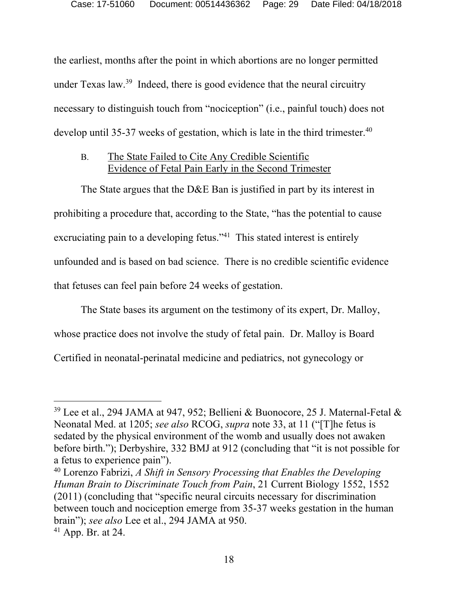the earliest, months after the point in which abortions are no longer permitted under Texas law.39 Indeed, there is good evidence that the neural circuitry necessary to distinguish touch from "nociception" (i.e., painful touch) does not develop until 35-37 weeks of gestation, which is late in the third trimester.<sup>40</sup>

#### B. The State Failed to Cite Any Credible Scientific Evidence of Fetal Pain Early in the Second Trimester

The State argues that the D&E Ban is justified in part by its interest in prohibiting a procedure that, according to the State, "has the potential to cause excruciating pain to a developing fetus."<sup>41</sup> This stated interest is entirely unfounded and is based on bad science. There is no credible scientific evidence that fetuses can feel pain before 24 weeks of gestation.

The State bases its argument on the testimony of its expert, Dr. Malloy, whose practice does not involve the study of fetal pain. Dr. Malloy is Board Certified in neonatal-perinatal medicine and pediatrics, not gynecology or

<sup>&</sup>lt;sup>39</sup> Lee et al., 294 JAMA at 947, 952; Bellieni & Buonocore, 25 J. Maternal-Fetal & Neonatal Med. at 1205; *see also* RCOG, *supra* note 33, at 11 ("[T]he fetus is sedated by the physical environment of the womb and usually does not awaken before birth."); Derbyshire, 332 BMJ at 912 (concluding that "it is not possible for a fetus to experience pain").

<sup>40</sup> Lorenzo Fabrizi, *A Shift in Sensory Processing that Enables the Developing Human Brain to Discriminate Touch from Pain*, 21 Current Biology 1552, 1552 (2011) (concluding that "specific neural circuits necessary for discrimination between touch and nociception emerge from 35-37 weeks gestation in the human brain"); *see also* Lee et al., 294 JAMA at 950.

 $41$  App. Br. at 24.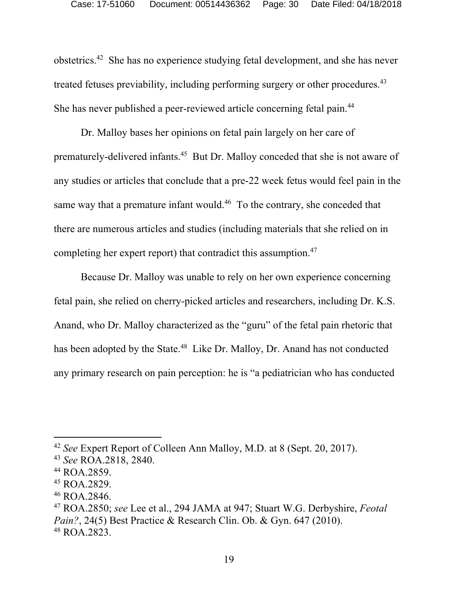obstetrics.42 She has no experience studying fetal development, and she has never treated fetuses previability, including performing surgery or other procedures.<sup>43</sup> She has never published a peer-reviewed article concerning fetal pain.44

Dr. Malloy bases her opinions on fetal pain largely on her care of prematurely-delivered infants.45 But Dr. Malloy conceded that she is not aware of any studies or articles that conclude that a pre-22 week fetus would feel pain in the same way that a premature infant would.<sup>46</sup> To the contrary, she conceded that there are numerous articles and studies (including materials that she relied on in completing her expert report) that contradict this assumption.47

Because Dr. Malloy was unable to rely on her own experience concerning fetal pain, she relied on cherry-picked articles and researchers, including Dr. K.S. Anand, who Dr. Malloy characterized as the "guru" of the fetal pain rhetoric that has been adopted by the State.<sup>48</sup> Like Dr. Malloy, Dr. Anand has not conducted any primary research on pain perception: he is "a pediatrician who has conducted

<sup>42</sup> *See* Expert Report of Colleen Ann Malloy, M.D. at 8 (Sept. 20, 2017). 43 *See* ROA.2818, 2840.

<sup>44</sup> ROA.2859.

<sup>45</sup> ROA.2829.

<sup>46</sup> ROA.2846.

<sup>47</sup> ROA.2850; *see* Lee et al., 294 JAMA at 947; Stuart W.G. Derbyshire, *Feotal Pain?*, 24(5) Best Practice & Research Clin. Ob. & Gyn. 647 (2010). 48 ROA.2823.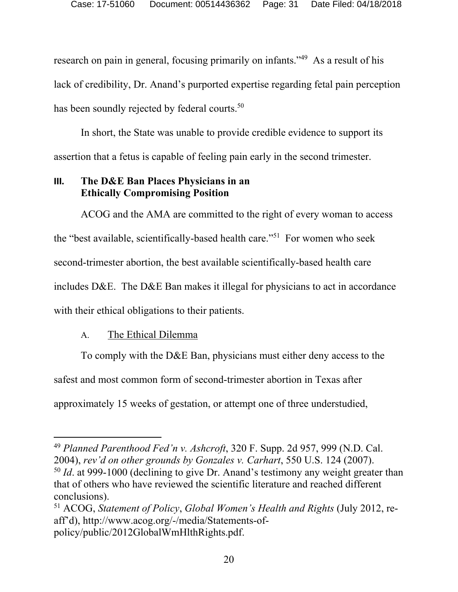research on pain in general, focusing primarily on infants."<sup>49</sup> As a result of his lack of credibility, Dr. Anand's purported expertise regarding fetal pain perception has been soundly rejected by federal courts.<sup>50</sup>

In short, the State was unable to provide credible evidence to support its assertion that a fetus is capable of feeling pain early in the second trimester.

#### **III. The D&E Ban Places Physicians in an Ethically Compromising Position**

ACOG and the AMA are committed to the right of every woman to access the "best available, scientifically-based health care."51 For women who seek second-trimester abortion, the best available scientifically-based health care includes D&E. The D&E Ban makes it illegal for physicians to act in accordance with their ethical obligations to their patients.

## A. The Ethical Dilemma

To comply with the D&E Ban, physicians must either deny access to the safest and most common form of second-trimester abortion in Texas after approximately 15 weeks of gestation, or attempt one of three understudied,

 $\overline{a}$ <sup>49</sup> *Planned Parenthood Fed'n v. Ashcroft*, 320 F. Supp. 2d 957, 999 (N.D. Cal. 2004), *rev'd on other grounds by Gonzales v. Carhart*, 550 U.S. 124 (2007).

<sup>50</sup> *Id*. at 999-1000 (declining to give Dr. Anand's testimony any weight greater than that of others who have reviewed the scientific literature and reached different conclusions).

<sup>51</sup> ACOG, *Statement of Policy*, *Global Women's Health and Rights* (July 2012, reaff'd), http://www.acog.org/-/media/Statements-ofpolicy/public/2012GlobalWmHlthRights.pdf.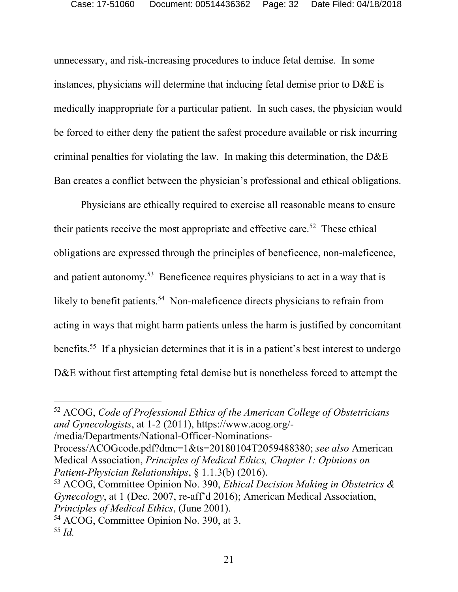unnecessary, and risk-increasing procedures to induce fetal demise. In some instances, physicians will determine that inducing fetal demise prior to D&E is medically inappropriate for a particular patient. In such cases, the physician would be forced to either deny the patient the safest procedure available or risk incurring criminal penalties for violating the law. In making this determination, the D&E Ban creates a conflict between the physician's professional and ethical obligations.

Physicians are ethically required to exercise all reasonable means to ensure their patients receive the most appropriate and effective care.<sup>52</sup> These ethical obligations are expressed through the principles of beneficence, non-maleficence, and patient autonomy.<sup>53</sup> Beneficence requires physicians to act in a way that is likely to benefit patients.<sup>54</sup> Non-maleficence directs physicians to refrain from acting in ways that might harm patients unless the harm is justified by concomitant benefits.<sup>55</sup> If a physician determines that it is in a patient's best interest to undergo D&E without first attempting fetal demise but is nonetheless forced to attempt the

/media/Departments/National-Officer-Nominations-

Process/ACOGcode.pdf?dmc=1&ts=20180104T2059488380; *see also* American Medical Association, *Principles of Medical Ethics, Chapter 1: Opinions on Patient-Physician Relationships*, § 1.1.3(b) (2016).

53 ACOG, Committee Opinion No. 390, *Ethical Decision Making in Obstetrics & Gynecology*, at 1 (Dec. 2007, re-aff'd 2016); American Medical Association, *Principles of Medical Ethics*, (June 2001). 54 ACOG, Committee Opinion No. 390, at 3.

-

<sup>52</sup> ACOG, *Code of Professional Ethics of the American College of Obstetricians and Gynecologists*, at 1-2 (2011), https://www.acog.org/-

<sup>55</sup> *Id.*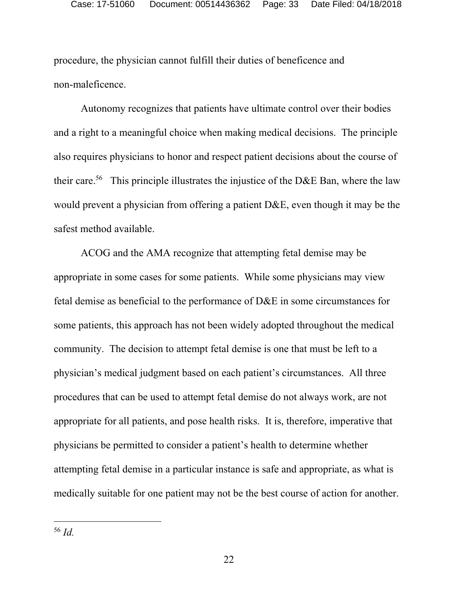procedure, the physician cannot fulfill their duties of beneficence and non-maleficence.

Autonomy recognizes that patients have ultimate control over their bodies and a right to a meaningful choice when making medical decisions. The principle also requires physicians to honor and respect patient decisions about the course of their care.<sup>56</sup> This principle illustrates the injustice of the D&E Ban, where the law would prevent a physician from offering a patient D&E, even though it may be the safest method available.

ACOG and the AMA recognize that attempting fetal demise may be appropriate in some cases for some patients. While some physicians may view fetal demise as beneficial to the performance of D&E in some circumstances for some patients, this approach has not been widely adopted throughout the medical community. The decision to attempt fetal demise is one that must be left to a physician's medical judgment based on each patient's circumstances. All three procedures that can be used to attempt fetal demise do not always work, are not appropriate for all patients, and pose health risks. It is, therefore, imperative that physicians be permitted to consider a patient's health to determine whether attempting fetal demise in a particular instance is safe and appropriate, as what is medically suitable for one patient may not be the best course of action for another.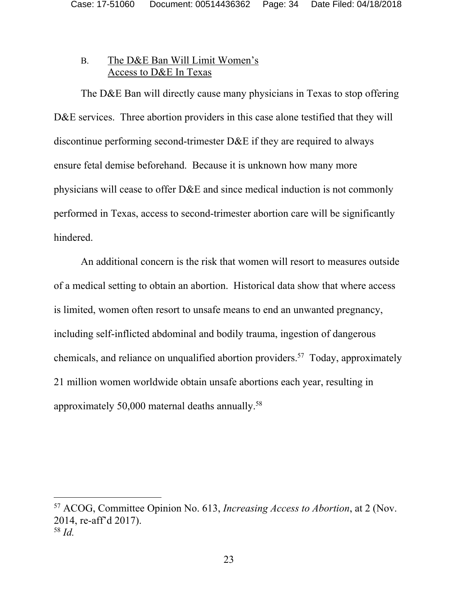#### B. The D&E Ban Will Limit Women's Access to D&E In Texas

The D&E Ban will directly cause many physicians in Texas to stop offering D&E services. Three abortion providers in this case alone testified that they will discontinue performing second-trimester D&E if they are required to always ensure fetal demise beforehand. Because it is unknown how many more physicians will cease to offer D&E and since medical induction is not commonly performed in Texas, access to second-trimester abortion care will be significantly hindered.

An additional concern is the risk that women will resort to measures outside of a medical setting to obtain an abortion. Historical data show that where access is limited, women often resort to unsafe means to end an unwanted pregnancy, including self-inflicted abdominal and bodily trauma, ingestion of dangerous chemicals, and reliance on unqualified abortion providers.57 Today, approximately 21 million women worldwide obtain unsafe abortions each year, resulting in approximately 50,000 maternal deaths annually.58

<sup>57</sup> ACOG, Committee Opinion No. 613, *Increasing Access to Abortion*, at 2 (Nov. 2014, re-aff'd 2017). <sup>58</sup> *Id.*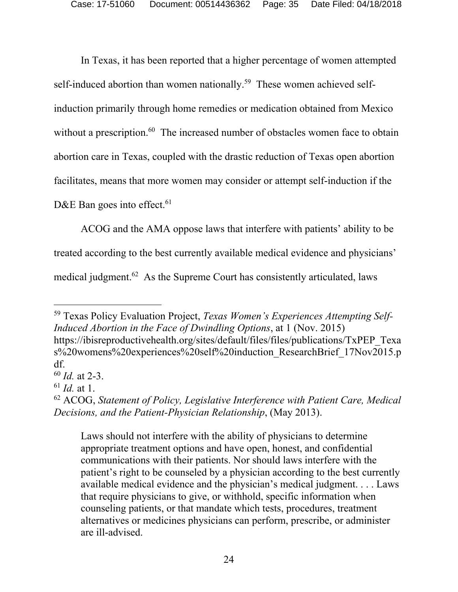In Texas, it has been reported that a higher percentage of women attempted self-induced abortion than women nationally.<sup>59</sup> These women achieved selfinduction primarily through home remedies or medication obtained from Mexico without a prescription.<sup>60</sup> The increased number of obstacles women face to obtain abortion care in Texas, coupled with the drastic reduction of Texas open abortion facilitates, means that more women may consider or attempt self-induction if the D&E Ban goes into effect.<sup>61</sup>

ACOG and the AMA oppose laws that interfere with patients' ability to be treated according to the best currently available medical evidence and physicians' medical judgment.<sup>62</sup> As the Supreme Court has consistently articulated, laws

 $\overline{a}$ 

Laws should not interfere with the ability of physicians to determine appropriate treatment options and have open, honest, and confidential communications with their patients. Nor should laws interfere with the patient's right to be counseled by a physician according to the best currently available medical evidence and the physician's medical judgment. . . . Laws that require physicians to give, or withhold, specific information when counseling patients, or that mandate which tests, procedures, treatment alternatives or medicines physicians can perform, prescribe, or administer are ill-advised.

<sup>59</sup> Texas Policy Evaluation Project, *Texas Women's Experiences Attempting Self-Induced Abortion in the Face of Dwindling Options*, at 1 (Nov. 2015) https://ibisreproductivehealth.org/sites/default/files/files/publications/TxPEP\_Texa s%20womens%20experiences%20self%20induction\_ResearchBrief\_17Nov2015.p df.

<sup>60</sup> *Id.* at 2-3.

<sup>61</sup> *Id.* at 1.

<sup>62</sup> ACOG, *Statement of Policy, Legislative Interference with Patient Care, Medical Decisions, and the Patient-Physician Relationship*, (May 2013).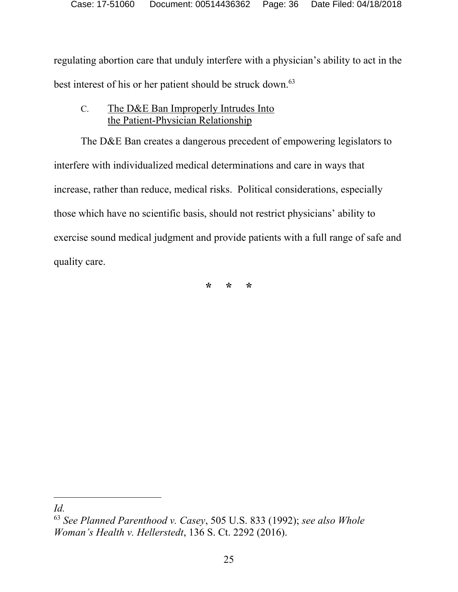regulating abortion care that unduly interfere with a physician's ability to act in the best interest of his or her patient should be struck down.<sup>63</sup>

## C. The D&E Ban Improperly Intrudes Into the Patient-Physician Relationship

The D&E Ban creates a dangerous precedent of empowering legislators to interfere with individualized medical determinations and care in ways that increase, rather than reduce, medical risks. Political considerations, especially those which have no scientific basis, should not restrict physicians' ability to exercise sound medical judgment and provide patients with a full range of safe and quality care.

**\* \* \*** 

 $\overline{a}$ *Id.* 

<sup>63</sup> *See Planned Parenthood v. Casey*, 505 U.S. 833 (1992); *see also Whole Woman's Health v. Hellerstedt*, 136 S. Ct. 2292 (2016).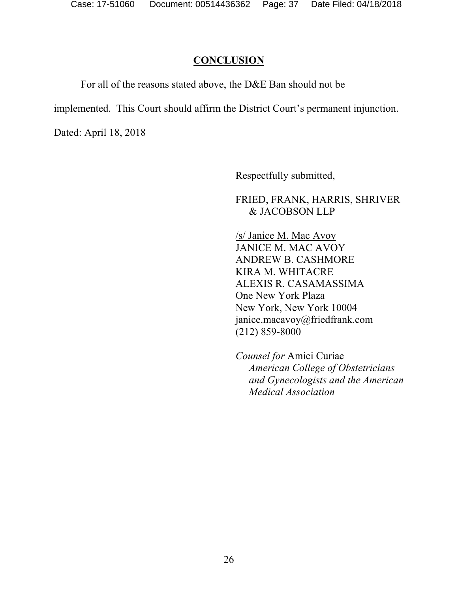#### **CONCLUSION**

For all of the reasons stated above, the D&E Ban should not be

implemented. This Court should affirm the District Court's permanent injunction.

Dated: April 18, 2018

Respectfully submitted,

FRIED, FRANK, HARRIS, SHRIVER & JACOBSON LLP

/s/ Janice M. Mac Avoy JANICE M. MAC AVOY ANDREW B. CASHMORE KIRA M. WHITACRE ALEXIS R. CASAMASSIMA One New York Plaza New York, New York 10004 janice.macavoy@friedfrank.com (212) 859-8000

 *Counsel for* Amici Curiae *American College of Obstetricians and Gynecologists and the American Medical Association*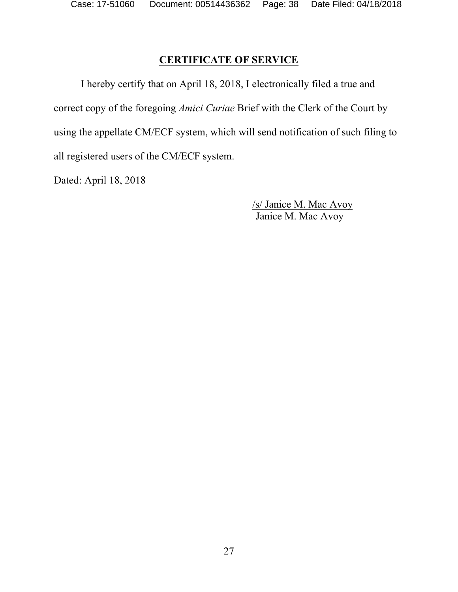## **CERTIFICATE OF SERVICE**

I hereby certify that on April 18, 2018, I electronically filed a true and correct copy of the foregoing *Amici Curiae* Brief with the Clerk of the Court by using the appellate CM/ECF system, which will send notification of such filing to all registered users of the CM/ECF system.

Dated: April 18, 2018

/s/ Janice M. Mac Avoy Janice M. Mac Avoy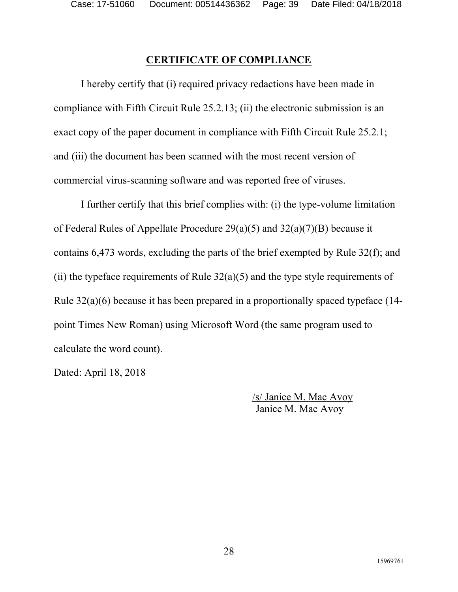## **CERTIFICATE OF COMPLIANCE**

I hereby certify that (i) required privacy redactions have been made in compliance with Fifth Circuit Rule 25.2.13; (ii) the electronic submission is an exact copy of the paper document in compliance with Fifth Circuit Rule 25.2.1; and (iii) the document has been scanned with the most recent version of commercial virus-scanning software and was reported free of viruses.

I further certify that this brief complies with: (i) the type-volume limitation of Federal Rules of Appellate Procedure 29(a)(5) and 32(a)(7)(B) because it contains 6,473 words, excluding the parts of the brief exempted by Rule 32(f); and (ii) the typeface requirements of Rule  $32(a)(5)$  and the type style requirements of Rule 32(a)(6) because it has been prepared in a proportionally spaced typeface (14 point Times New Roman) using Microsoft Word (the same program used to calculate the word count).

Dated: April 18, 2018

/s/ Janice M. Mac Avoy Janice M. Mac Avoy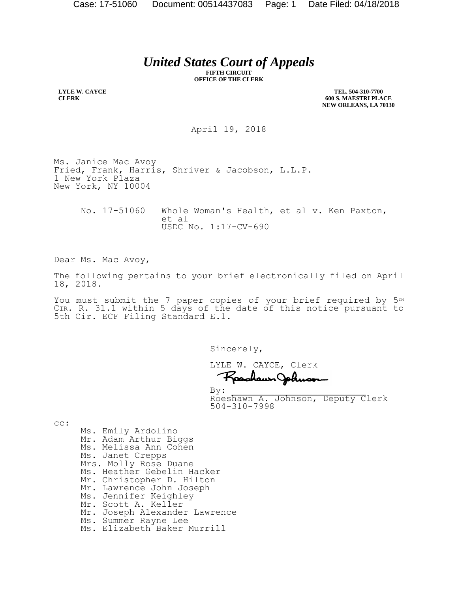*United States Court of Appeals*

**FIFTH CIRCUIT OFFICE OF THE CLERK**

**LYLE W. CAYCE CLERK**

**TEL. 504-310-7700 600 S. MAESTRI PLACE NEW ORLEANS, LA 70130**

April 19, 2018

Ms. Janice Mac Avoy Fried, Frank, Harris, Shriver & Jacobson, L.L.P. 1 New York Plaza New York, NY 10004

No. 17-51060 Whole Woman's Health, et al v. Ken Paxton, et al USDC No. 1:17-CV-690

Dear Ms. Mac Avoy,

The following pertains to your brief electronically filed on April 18, 2018.

You must submit the 7 paper copies of your brief required by  $5<sup>TH</sup>$ CIR. R. 31.1 within 5 days of the date of this notice pursuant to 5th Cir. ECF Filing Standard E.1.

Sincerely,

LYLE W. CAYCE, Clerk

Rashawn Johnson

 $By:$  Roeshawn A. Johnson, Deputy Clerk 504-310-7998

cc:

Ms. Emily Ardolino Mr. Adam Arthur Biggs Ms. Melissa Ann Cohen Ms. Janet Crepps Mrs. Molly Rose Duane Ms. Heather Gebelin Hacker Mr. Christopher D. Hilton Mr. Lawrence John Joseph Ms. Jennifer Keighley Mr. Scott A. Keller Mr. Joseph Alexander Lawrence Ms. Summer Rayne Lee Ms. Elizabeth Baker Murrill